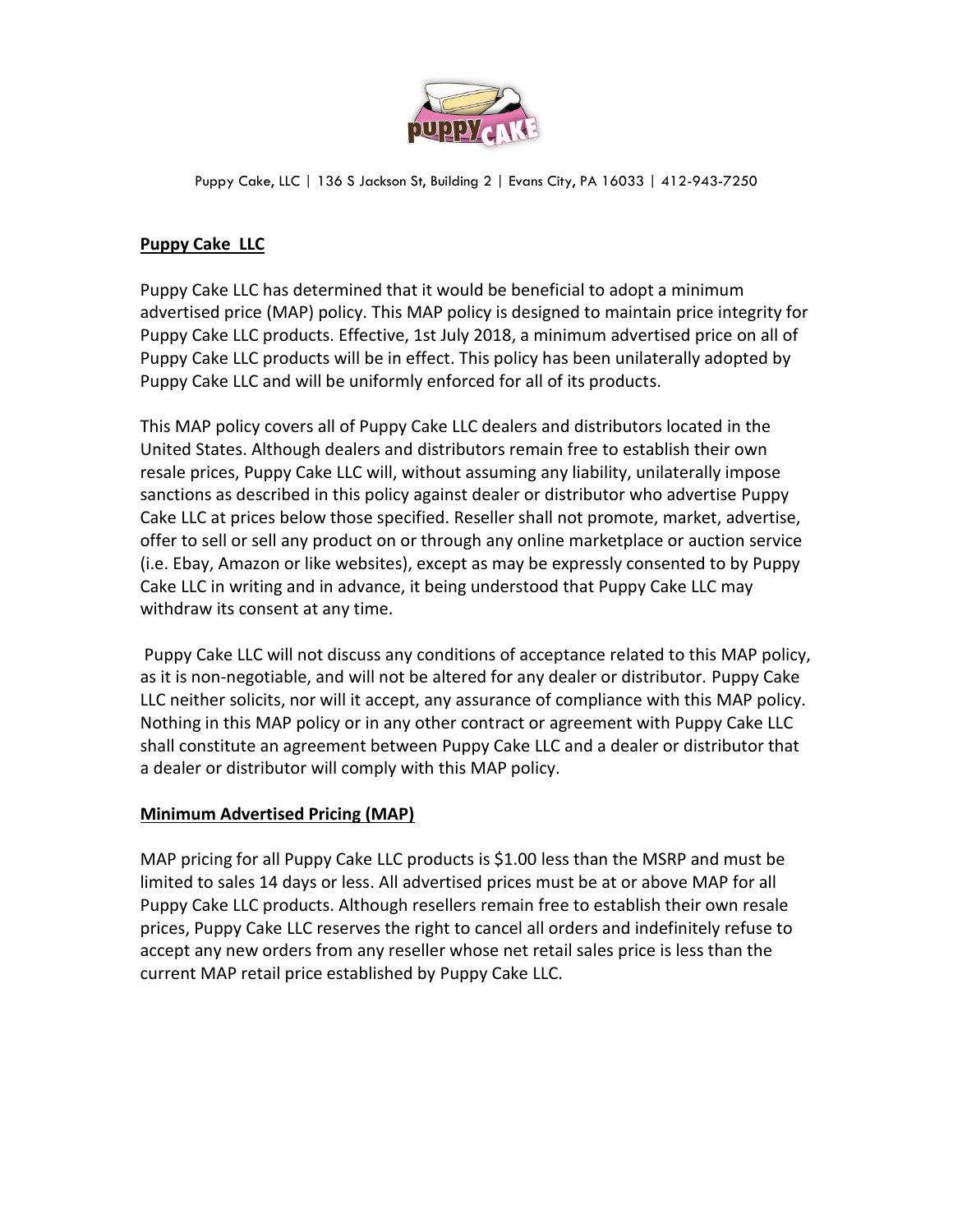

Puppy Cake, LLC | 136 S Jackson St, Building 2 | Evans City, PA 16033 | 412-943-7250

## **Puppy Cake LLC**

Puppy Cake LLC has determined that it would be beneficial to adopt a minimum advertised price (MAP) policy. This MAP policy is designed to maintain price integrity for Puppy Cake LLC products. Effective, 1st July 2018, a minimum advertised price on all of Puppy Cake LLC products will be in effect. This policy has been unilaterally adopted by Puppy Cake LLC and will be uniformly enforced for all of its products.

This MAP policy covers all of Puppy Cake LLC dealers and distributors located in the United States. Although dealers and distributors remain free to establish their own resale prices, Puppy Cake LLC will, without assuming any liability, unilaterally impose sanctions as described in this policy against dealer or distributor who advertise Puppy Cake LLC at prices below those specified. Reseller shall not promote, market, advertise, offer to sell or sell any product on or through any online marketplace or auction service (i.e. Ebay, Amazon or like websites), except as may be expressly consented to by Puppy Cake LLC in writing and in advance, it being understood that Puppy Cake LLC may withdraw its consent at any time.

Puppy Cake LLC will not discuss any conditions of acceptance related to this MAP policy, as it is non-negotiable, and will not be altered for any dealer or distributor. Puppy Cake LLC neither solicits, nor will it accept, any assurance of compliance with this MAP policy. Nothing in this MAP policy or in any other contract or agreement with Puppy Cake LLC shall constitute an agreement between Puppy Cake LLC and a dealer or distributor that a dealer or distributor will comply with this MAP policy.

## **Minimum Advertised Pricing (MAP)**

MAP pricing for all Puppy Cake LLC products is \$1.00 less than the MSRP and must be limited to sales 14 days or less. All advertised prices must be at or above MAP for all Puppy Cake LLC products. Although resellers remain free to establish their own resale prices, Puppy Cake LLC reserves the right to cancel all orders and indefinitely refuse to accept any new orders from any reseller whose net retail sales price is less than the current MAP retail price established by Puppy Cake LLC.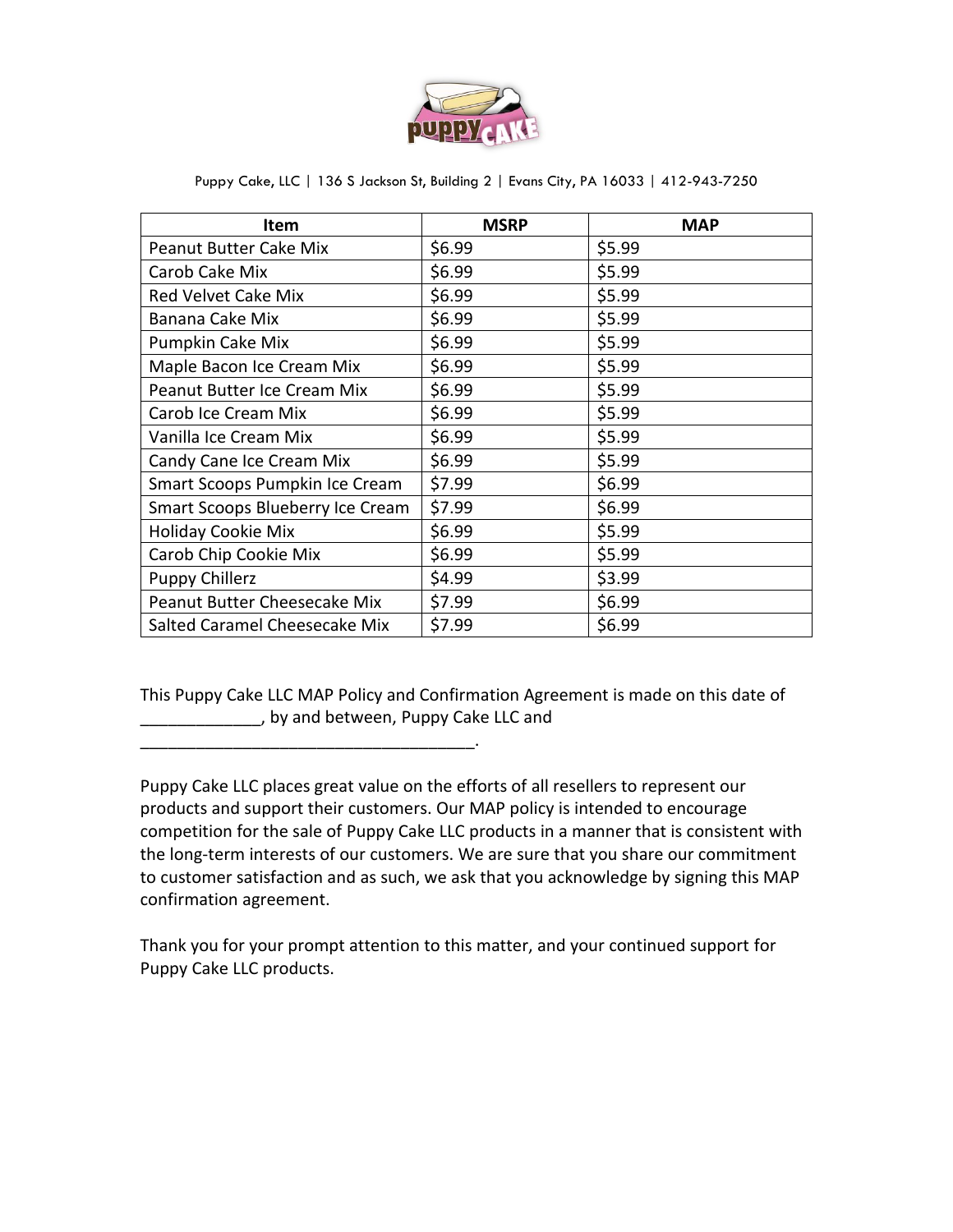

| Item                             | <b>MSRP</b> | <b>MAP</b> |
|----------------------------------|-------------|------------|
| <b>Peanut Butter Cake Mix</b>    | \$6.99      | \$5.99     |
| Carob Cake Mix                   | \$6.99      | \$5.99     |
| <b>Red Velvet Cake Mix</b>       | \$6.99      | \$5.99     |
| Banana Cake Mix                  | \$6.99      | \$5.99     |
| Pumpkin Cake Mix                 | \$6.99      | \$5.99     |
| Maple Bacon Ice Cream Mix        | \$6.99      | \$5.99     |
| Peanut Butter Ice Cream Mix      | \$6.99      | \$5.99     |
| Carob Ice Cream Mix              | \$6.99      | \$5.99     |
| Vanilla Ice Cream Mix            | \$6.99      | \$5.99     |
| Candy Cane Ice Cream Mix         | \$6.99      | \$5.99     |
| Smart Scoops Pumpkin Ice Cream   | \$7.99      | \$6.99     |
| Smart Scoops Blueberry Ice Cream | \$7.99      | \$6.99     |
| <b>Holiday Cookie Mix</b>        | \$6.99      | \$5.99     |
| Carob Chip Cookie Mix            | \$6.99      | \$5.99     |
| <b>Puppy Chillerz</b>            | \$4.99      | \$3.99     |
| Peanut Butter Cheesecake Mix     | \$7.99      | \$6.99     |
| Salted Caramel Cheesecake Mix    | \$7.99      | \$6.99     |

Puppy Cake, LLC | 136 S Jackson St, Building 2 | Evans City, PA 16033 | 412-943-7250

This Puppy Cake LLC MAP Policy and Confirmation Agreement is made on this date of \_\_\_\_\_\_\_\_\_\_\_\_\_, by and between, Puppy Cake LLC and

\_\_\_\_\_\_\_\_\_\_\_\_\_\_\_\_\_\_\_\_\_\_\_\_\_\_\_\_\_\_\_\_\_\_\_\_.

Puppy Cake LLC places great value on the efforts of all resellers to represent our products and support their customers. Our MAP policy is intended to encourage competition for the sale of Puppy Cake LLC products in a manner that is consistent with the long-term interests of our customers. We are sure that you share our commitment to customer satisfaction and as such, we ask that you acknowledge by signing this MAP confirmation agreement.

Thank you for your prompt attention to this matter, and your continued support for Puppy Cake LLC products.